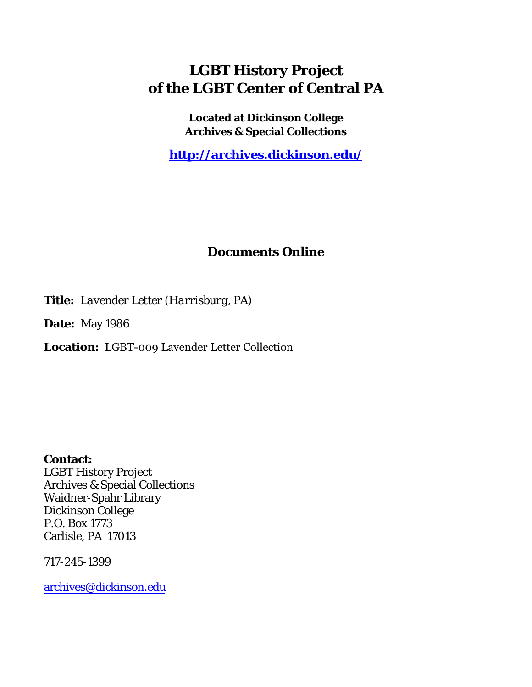## **LGBT History Project of the LGBT Center of Central PA**

**Located at Dickinson College Archives & Special Collections**

**<http://archives.dickinson.edu/>**

## **Documents Online**

**Title:** *Lavender Letter (Harrisburg, PA)*

**Date:** May 1986

**Location:** LGBT-009 Lavender Letter Collection

**Contact:**  LGBT History Project Archives & Special Collections Waidner-Spahr Library Dickinson College P.O. Box 1773 Carlisle, PA 17013

717-245-1399

[archives@dickinson.edu](mailto:archives@dickinson.edu)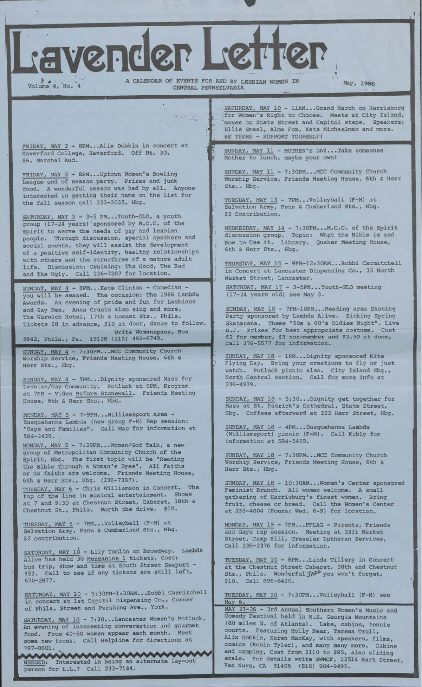ravender Letter

**May, 1986** Volume 4, No. 4 **May, 1986** Volume 4, No. 4 **May, 1986** CENTRAL PENNSYLVANIA

 $3 - 2 - 1$ 

'i

**'(**

FRIDAY, MAY 2 - 8PM...Alix Dobkin in concert at Haverford College, Haverford. Off Rt. 30, \$6, Marshal Aud.

FRIDAY, MAY 2 - 8PM...Uptown Women's Bowling League end of season party. Prizes and junk food. A wonderful season was had by all. Anyone interested in getting their name on the list for the fall season call 233-3035, Hbg.

youth of the SATURDAY, MAY <sup>3</sup> - 3-5 PM...Youth-GLO, a group (17-24 years) sponsored by M.C.C. Spirit to serve the needs of gay and lesbian people. Through discussion, special speakers and social events, they will assist the development of a positive self-identity, healthy relationships with others and the structures of a mature adult life. Discussion: Cruising: The Good, The Bad and The Ugly. Call 236-7387 for location.

SUNDAY, MAY 4 - 8PM...Kate Clinton - Comedian you will be amazed. The occasion: The 1986 Lambda Awards. An evening of pride and fun for Lesbians and Gay Men. Anna Crusis also sing and more. The Warwick Hotel, 17th & Locust Sts., Phila. Tickets \$8 in advance, \$10 at door, dance to follow Write Womanspace, Box 19128 (215) 482-6749. 5842, Phila., Pa.

SUNDAY, MAY 4 - 7:30PM\_\_ MCC Community Church Worship Service, Friends Meeting House, 6th & Herr Sts., Hbg.

SUNDAY, MAY 4 - 5PM...Dignity sponsored Mass for Lesbian/Gay Community. Potluck at 6PM, Program at 7PM - Video Before Stonewall Friends Meeting House, 6th & Herr Sts., Hbg.

MONDAY, MAY 5 - 7-9PM...Williamsport Area - Susquehanna Lambda (new group F-M) Rap session: "Gays and Families". Call Mac for information at 584-2439. .

MONDAY, MAY 5 - 7:30PM...Woman/God Talk, a new group of Metropolitan Community Church of the Spirit, Hbg. The first topic will be "Reading the Bible Through a Woman's Eyes", All faiths or no faiths are welcome. Friends Meeting House, 6th & Herr Sts., Hbg. (236-7387). TUESDAY, MAY 6 - Chris Williamson in Concert. The top of the line in musical entertainment. S at 7 and 9:30 at Chestnut Street, Cabaret, 38th & Chestnut St., Phila. Worth the drive. \$10

TUESDAY, MAY 6 - 7PM...Volleyball Salvation Army, Penn & Cumberland \$2 contribution. TUESDAY, MAY 6 - 7PM...Volleyball (F-M)<br>Salvation Army, Penn & Cumberland Sts., at Hbg

SATURDAY, MAY 10 - Lily Tomlin on Broadway. Lambda Alive has held 30 Mezzanine 1 tickets. Cost: bus trip, show and time at South Street Seaport - \$53. Call to see if any tickets are still left, 670-2877.

SATURDAY, MAY 10 - 9:30PM-1:30AM...Bobbi Carmitchell in concert at 1st Capital Dispensing Co., Corner of Phila. Street and Pershing Ave., York.

SATURDAY, MAY 10 - 7:30...Lancaster Women's Potluck. An evening of interesting conversation and gourmet food. From 40-50 women appear each month. Meet some new faces. Call Helpline for directions at 197-0601.

NEEDED: Interested in being an alternate lay-out person for L.L.? Call 232-7144.

SATURDAY, MAY 10 - 11AM...Grand March on Harrisburg for Women's Right to Choose. Meets at City Island, 'moves to State Street and Capitol steps. Speakers: Ellie Smeal, Alma Fox, Kate Michaelman and more. BE THERE - SUPPORT YOURSELF!

£ SUNDAY, MAY 11 - MOTHER'S DAY...Take someones Mother to lunch. maybe your own!

SUNDAY, MAY 11 - 7:30PM...MCC Community Church Worship Service, Friends Meeting House, 6th & Herr Sts., Hbg.

TUESDAY, MAY 13 - 7PM...Volleyball (F-M) at Salvation Army, Penn & Cumberland Sts., Hbg \$2 Contribution.

WEDNESDAY, MAY 14 - 7:30PM...M.C.C. of the Spirit discussion group. Topic: What the Bible is and How to Use it. Library. Quaker Meeting House, 6th & Herr Sts., Hbg.

THURSDAY, MAY 15 - 9PM-12:30AM...Bobbi Carmitchell in Concert at Lancaster Dispensing Co., 33 North Market Street, Lancaster.

SATURDAY, MAY 17 - 3-5PM...Youth-GLO meeting (17-24 years old) see May 3.

SUNDAY, MAY 18 - 7PM-10PM...Reading area Skating Party sponsored by Lambda Alive. Sinking Spring Skatarena. Theme "50s *& 60's* Oldies Night". Live D.J. Prizes for best appropriate costume. \$2 for member, \$3 non-member and \$3.50 at door. Call 378-5577 for information.

SUNDAY, MAY 18 - 1PM...Dignity sponsored Kite Flying Day. Bring your creations to fly or just watch. Potluck picnic also. City Island Hbg., North Central section. Call for more info at 236-4939.

SUNDAY, MAY 18 - 5:30...Dignity get together for Mass at St. Patrick's Cathedral, State Street, Hbg. Coffeee afterward at 222 Herr Street, Hbg.

SUNDAY, MAY 18 (Williamsport) information at 584-5459. - 4PM...Susquehanna Lambda picnic (F-M). Call Kibly for

SUNDAY, MAY 18 - Worship Service, Herr Sts., Hbg. 7:30PM...MCC Community Church Friends Meeting House, 6th &

SUNDAY, MAY 18 - 10:30AM... Women's Center sponsored Feminist Brunch All women welcome. A small gathering of Harrisburg's finest women, Bring fruit, cheese or bread. at 233-4004 (Hours: Wed Call the Women's Center 6-9) for location.

MONDAY, MAY 19 - 7PM...PFLAG - Parents, Friends and Gays rap session. Meeting at 2331 Market Street, Camp Hill, Tressler Lutheran Services, Call 238-2376 for information.

TUESDAY, MAY 20 - 8PM...Linda Tillery in Concert at the Chestnut Street Cabaret, 38th and Chestnut<br>Sts., Phila. Wonderful  $\mathit{f} \mathsf{A}^{\mathsf{Z} \mathcal{F}}$  you won't forget, \$10. Call 896-6420. the case of the case of the case of the case of the case of the case of the case of the case of the case of the case of the case of the case of the case of the case of the case of the case of the case o

TUESDAY, MAY 20 - 7:30PM...Volleyball (F-M) see May 6.

MAY 23-26 - 3rd Annual Southern Women's Music and Comedy Festival held in N.E. Georgia Mountains (80 miles N. of Atlanta). Lake, cabins, tennis courts. Featuring Holly Near, Teresa Trull, Alix Dobkin, Karen MacKay, with speakers, films, comics (Robin Tyler), and many many more. Cabins and camping, Cost from \$110 to \$85, also sliding scale. For details write SWMCF, 13514 Hart Street, Van Nuys, CA 91405 (818) 904-9495.